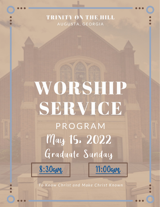# TRINITY ON THE HILL AUGUSTA, GEORGIA

# WORSHIP SERVICE PROGRAM May 15. 2022 Graduate Sunday



To Know Christ and Make Christ Known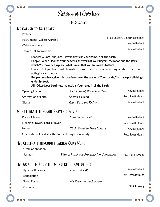<span id="page-1-0"></span>

|                                          | Service of Worghip                                                                                                                                              |                              |
|------------------------------------------|-----------------------------------------------------------------------------------------------------------------------------------------------------------------|------------------------------|
|                                          |                                                                                                                                                                 |                              |
| <b>WE GATHER TO CELEBRATE</b>            |                                                                                                                                                                 |                              |
| Prelude                                  |                                                                                                                                                                 | Nick Lowery & Sophie Pollock |
| Instrumental Call to Worship             |                                                                                                                                                                 | <b>Kevin Pollock</b>         |
| <b>Welcome Home</b>                      |                                                                                                                                                                 | <b>Kevin Pollock</b>         |
| Spoken Call to Worship                   | Leader: O Lord, our Lord, How majestic is Your name in all the earth!                                                                                           |                              |
| with glory and honor.<br>under his feet. | People: You have given him dominion over the works of Your hands; You have put all things<br>All: O Lord, our Lord, how majestic is Your name in all the Earth! |                              |
| Opening Hymn                             | Joyful, Joyful, We Adore Thee                                                                                                                                   | <b>Kevin Pollock</b>         |
| <b>Affirmation of Faith</b>              | Apostles' Creed                                                                                                                                                 | Rev. Scott Hearn             |
| Gloria                                   | Glory Be to the Father                                                                                                                                          | <b>Kevin Pollock</b>         |
| WE CELEBRATE THROUGH PRAYER & GIVING     |                                                                                                                                                                 |                              |
| Prayer Chorus                            | Jesus is Lord of All                                                                                                                                            | <b>Kevin Pollock</b>         |
| Morning Prayer / Lord's Prayer           |                                                                                                                                                                 | Rev. Scott Hearn             |
| Hymn                                     | 'Tis So Sweet to Trust in Jesus                                                                                                                                 | <b>Kevin Pollock</b>         |
|                                          | Celebration of God's Faithfulness Through Generosity                                                                                                            | Rev. Scott Hearn             |
| WE CELEBRATE THROUGH HEARING GOD'S WORD  |                                                                                                                                                                 |                              |
| <b>Graduation Video</b>                  |                                                                                                                                                                 |                              |

| Hymn of Response   | l Surrender All           | Kevin Pollock    |
|--------------------|---------------------------|------------------|
| <b>Benediction</b> |                           | Rev. Roy McVeigh |
| Going Forth        | His Eye is on the Sparrow |                  |
| Postlude           |                           | Nick Lowery      |
|                    |                           |                  |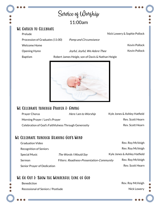# Service of Worship 11:00am

#### <span id="page-2-0"></span>We Gather to Celebrate

Prelude

Nick Lowery & Sophie Pollock

Kevin Pollock

Kevin Pollock

Procession of Graduates (11:00) Pomp and Circumstance

Welcome Home

Opening Hymn Joyful, Joyful, We Adore Thee

Baptism Robert James Heigle, son of Davis & Nathan Heigle



## WE CELEBRATE THROUGH PRAYER & GIVING

| Prayer Chorus                                        | Here I am to Worship | Kyle Jones & Ashley Hatfield |
|------------------------------------------------------|----------------------|------------------------------|
| Morning Prayer / Lord's Prayer                       |                      | Rev. Scott Hearn             |
| Celebration of God's Faithfulness Through Generosity |                      | Rev. Scott Hearn             |

## We Celebrate through Hearing God's Word

| <b>Graduation Video</b>     |                                           | Rev. Roy McVeigh             |
|-----------------------------|-------------------------------------------|------------------------------|
| Recognition of Seniors      |                                           | Rev. Roy McVeigh             |
| <b>Special Music</b>        | The Words I Would Say                     | Kyle Jones & Ashley Hatfield |
| Sermon                      | Filters: Readiness-Presentation-Community | Rev. Roy McVeigh             |
| Senior Prayer of Dedication |                                           | Rev. Scott Hearn             |

# WE GO OUT & SHOW THE WONDERFUL LOVE OF GOD

Benediction

Recessional of Seniors / Postlude

Rev. Roy McVeigh Nick Lowery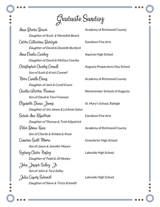Graduate Sunday

Anne Prodie Peach Academy of Richmond County Daughter of Scott & Meredith Beach Ceirra Catharina Durdyck Davidson Fine Arts Daughter of David & Danielle Burdyck Anne Emelia Cearley Aquinas High School Daughter of David & Melissa Cearley Chriztopher Charlez Connell Augusta Preparatory Day School Son of Scott & Kristi Connell Nora Camille Evanz Academy of Richmond County Daughter of Jack & Cyndi Evans Charlie Warren Freeman Westminster Schools of Augusta Son of David & Tara Freeman Elizabeth Diana Qamez St. Mary's School, Raleigh Daughter of Jim James & LizAnne Sekul Sarah Ann Kilpatrick Davidson Fine Arts Daughter of Thomas & Trish Kilpatrick Peter Boone Xnox Academy of Richmond County Son of Charlie & Kimberly Knox Cameron Scott Moore Greenbrier High School Son of Jason & Jennifer Moore Sydney Claire Nesley Lakeside High School Daughter of Todd & Jill Nesley John Joseph Salley Jr Son of John & Tara Salley Julia Capery Schmidt Lakeside High School Daughter of Steve & Tricia Schmidt